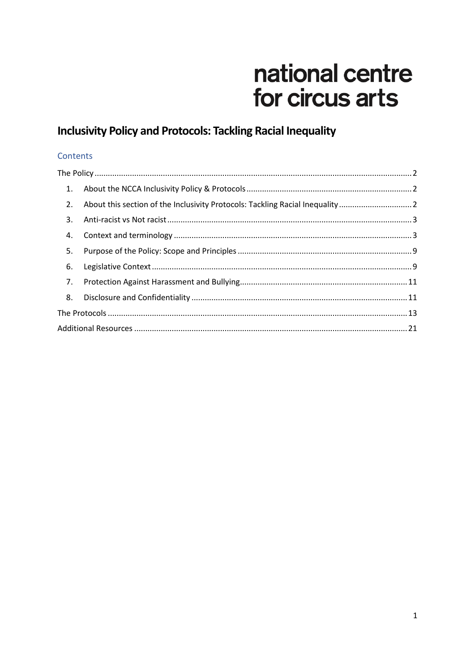# national centre for circus arts

# **Inclusivity Policy and Protocols: Tackling Racial Inequality**

#### Contents

| 1. |                                                                             |  |
|----|-----------------------------------------------------------------------------|--|
| 2. | About this section of the Inclusivity Protocols: Tackling Racial Inequality |  |
| 3. |                                                                             |  |
| 4. |                                                                             |  |
| 5. |                                                                             |  |
| 6. |                                                                             |  |
| 7. |                                                                             |  |
| 8. |                                                                             |  |
|    |                                                                             |  |
|    |                                                                             |  |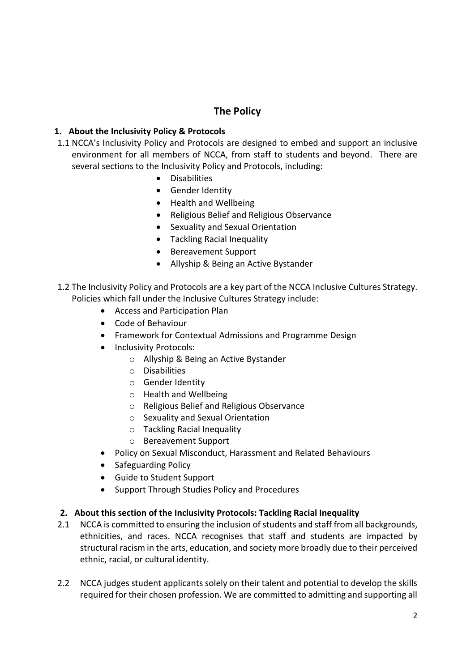### **The Policy**

#### <span id="page-1-1"></span><span id="page-1-0"></span>**1. About the Inclusivity Policy & Protocols**

- 1.1 NCCA's Inclusivity Policy and Protocols are designed to embed and support an inclusive environment for all members of NCCA, from staff to students and beyond. There are several sections to the Inclusivity Policy and Protocols, including:
	- Disabilities
	- **•** Gender Identity
	- Health and Wellbeing
	- Religious Belief and Religious Observance
	- Sexuality and Sexual Orientation
	- Tackling Racial Inequality
	- Bereavement Support
	- Allyship & Being an Active Bystander
- 1.2 The Inclusivity Policy and Protocols are a key part of the NCCA Inclusive Cultures Strategy. Policies which fall under the Inclusive Cultures Strategy include:
	- Access and Participation Plan
	- Code of Behaviour
	- Framework for Contextual Admissions and Programme Design
	- Inclusivity Protocols:
		- o Allyship & Being an Active Bystander
		- o Disabilities
		- o Gender Identity
		- o Health and Wellbeing
		- o Religious Belief and Religious Observance
		- o Sexuality and Sexual Orientation
		- o Tackling Racial Inequality
		- o Bereavement Support
	- Policy on Sexual Misconduct, Harassment and Related Behaviours
	- Safeguarding Policy
	- Guide to Student Support
	- Support Through Studies Policy and Procedures

#### <span id="page-1-2"></span>**2. About this section of the Inclusivity Protocols: Tackling Racial Inequality**

- 2.1 NCCA is committed to ensuring the inclusion of students and staff from all backgrounds, ethnicities, and races. NCCA recognises that staff and students are impacted by structural racism in the arts, education, and society more broadly due to their perceived ethnic, racial, or cultural identity.
- 2.2 NCCA judges student applicants solely on their talent and potential to develop the skills required for their chosen profession. We are committed to admitting and supporting all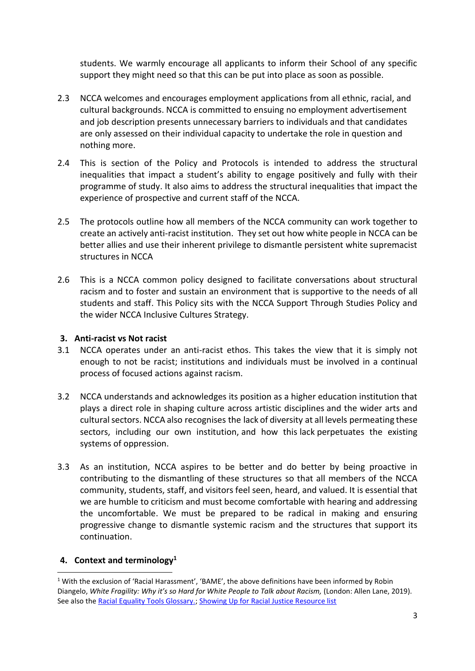students. We warmly encourage all applicants to inform their School of any specific support they might need so that this can be put into place as soon as possible.

- 2.3 NCCA welcomes and encourages employment applications from all ethnic, racial, and cultural backgrounds. NCCA is committed to ensuing no employment advertisement and job description presents unnecessary barriers to individuals and that candidates are only assessed on their individual capacity to undertake the role in question and nothing more.
- 2.4 This is section of the Policy and Protocols is intended to address the structural inequalities that impact a student's ability to engage positively and fully with their programme of study. It also aims to address the structural inequalities that impact the experience of prospective and current staff of the NCCA.
- 2.5 The protocols outline how all members of the NCCA community can work together to create an actively anti-racist institution. They set out how white people in NCCA can be better allies and use their inherent privilege to dismantle persistent white supremacist structures in NCCA
- 2.6 This is a NCCA common policy designed to facilitate conversations about structural racism and to foster and sustain an environment that is supportive to the needs of all students and staff. This Policy sits with the NCCA Support Through Studies Policy and the wider NCCA Inclusive Cultures Strategy.

#### <span id="page-2-0"></span>**3. Anti-racist vs Not racist**

- 3.1 NCCA operates under an anti-racist ethos. This takes the view that it is simply not enough to not be racist; institutions and individuals must be involved in a continual process of focused actions against racism.
- 3.2 NCCA understands and acknowledges its position as a higher education institution that plays a direct role in shaping culture across artistic disciplines and the wider arts and cultural sectors. NCCA also recognises the lack of diversity at all levels permeating these sectors, including our own institution, and how this lack perpetuates the existing systems of oppression.
- 3.3 As an institution, NCCA aspires to be better and do better by being proactive in contributing to the dismantling of these structures so that all members of the NCCA community, students, staff, and visitors feel seen, heard, and valued. It is essential that we are humble to criticism and must become comfortable with hearing and addressing the uncomfortable. We must be prepared to be radical in making and ensuring progressive change to dismantle systemic racism and the structures that support its continuation.

#### <span id="page-2-1"></span>**4. Context and terminology<sup>1</sup>**

 $\overline{\phantom{a}}$ 

<sup>1</sup> With the exclusion of 'Racial Harassment', 'BAME', the above definitions have been informed by Robin Diangelo, *White Fragility: Why it's so Hard for White People to Talk about Racism,* (London: Allen Lane, 2019). See also the [Racial Equality Tools Glossary.;](https://www.racialequitytools.org/glossary?fbclid=IwAR3StMqIvyqehTk2E-zZo9YqrnMRdr9P3HQ4LtAkZXRJl0WkK8960eNFkXs) [Showing Up for Racial Justice Resource list](https://www.showingupforracialjustice.org/resources.html)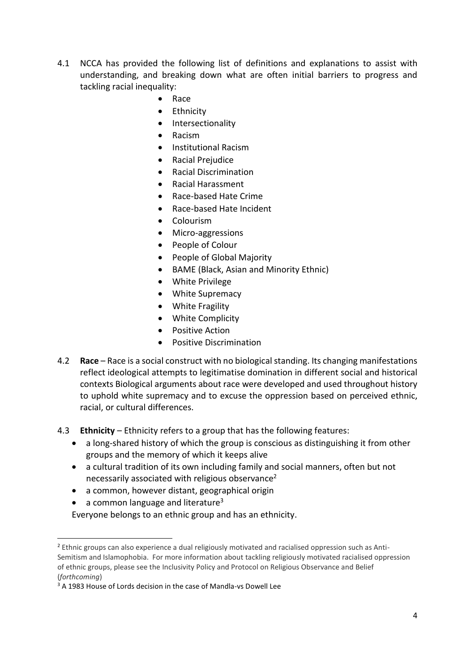- 4.1 NCCA has provided the following list of definitions and explanations to assist with understanding, and breaking down what are often initial barriers to progress and tackling racial inequality:
	- Race
	- Ethnicity
	- Intersectionality
	- Racism
	- Institutional Racism
	- Racial Prejudice
	- Racial Discrimination
	- Racial Harassment
	- Race-based Hate Crime
	- Race-based Hate Incident
	- Colourism
	- Micro-aggressions
	- People of Colour
	- People of Global Majority
	- BAME (Black, Asian and Minority Ethnic)
	- White Privilege
	- White Supremacy
	- White Fragility
	- White Complicity
	- Positive Action
	- Positive Discrimination
- 4.2 **Race** Race is a social construct with no biological standing. Its changing manifestations reflect ideological attempts to legitimatise domination in different social and historical contexts Biological arguments about race were developed and used throughout history to uphold white supremacy and to excuse the oppression based on perceived ethnic, racial, or cultural differences.
- 4.3 **Ethnicity** Ethnicity refers to a group that has the following features:
	- a long-shared history of which the group is conscious as distinguishing it from other groups and the memory of which it keeps alive
	- a cultural tradition of its own including family and social manners, often but not necessarily associated with religious observance<sup>2</sup>
	- a common, however distant, geographical origin
	- a common language and literature<sup>3</sup>

 $\overline{\phantom{a}}$ 

Everyone belongs to an ethnic group and has an ethnicity.

<sup>&</sup>lt;sup>2</sup> Ethnic groups can also experience a dual religiously motivated and racialised oppression such as Anti-Semitism and Islamophobia. For more information about tackling religiously motivated racialised oppression of ethnic groups, please see the Inclusivity Policy and Protocol on Religious Observance and Belief (*forthcoming*)

<sup>&</sup>lt;sup>3</sup> A 1983 House of Lords decision in the case of Mandla-vs Dowell Lee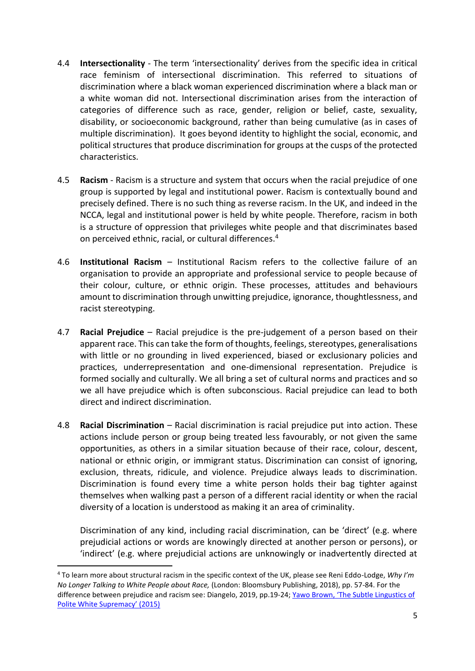- 4.4 **Intersectionality** The term 'intersectionality' derives from the specific idea in critical race feminism of intersectional discrimination. This referred to situations of discrimination where a black woman experienced discrimination where a black man or a white woman did not. Intersectional discrimination arises from the interaction of categories of difference such as race, gender, religion or belief, caste, sexuality, disability, or socioeconomic background, rather than being cumulative (as in cases of multiple discrimination). It goes beyond identity to highlight the social, economic, and political structures that produce discrimination for groups at the cusps of the protected characteristics.
- 4.5 **Racism** Racism is a structure and system that occurs when the racial prejudice of one group is supported by legal and institutional power. Racism is contextually bound and precisely defined. There is no such thing as reverse racism. In the UK, and indeed in the NCCA, legal and institutional power is held by white people. Therefore, racism in both is a structure of oppression that privileges white people and that discriminates based on perceived ethnic, racial, or cultural differences. 4
- 4.6 **Institutional Racism** Institutional Racism refers to the collective failure of an organisation to provide an appropriate and professional service to people because of their colour, culture, or ethnic origin. These processes, attitudes and behaviours amount to discrimination through unwitting prejudice, ignorance, thoughtlessness, and racist stereotyping.
- 4.7 **Racial Prejudice** Racial prejudice is the pre-judgement of a person based on their apparent race. This can take the form of thoughts, feelings, stereotypes, generalisations with little or no grounding in lived experienced, biased or exclusionary policies and practices, underrepresentation and one-dimensional representation. Prejudice is formed socially and culturally. We all bring a set of cultural norms and practices and so we all have prejudice which is often subconscious. Racial prejudice can lead to both direct and indirect discrimination.
- 4.8 **Racial Discrimination** Racial discrimination is racial prejudice put into action. These actions include person or group being treated less favourably, or not given the same opportunities, as others in a similar situation because of their race, colour, descent, national or ethnic origin, or immigrant status. Discrimination can consist of ignoring, exclusion, threats, ridicule, and violence. Prejudice always leads to discrimination. Discrimination is found every time a white person holds their bag tighter against themselves when walking past a person of a different racial identity or when the racial diversity of a location is understood as making it an area of criminality.

Discrimination of any kind, including racial discrimination, can be 'direct' (e.g. where prejudicial actions or words are knowingly directed at another person or persons), or 'indirect' (e.g. where prejudicial actions are unknowingly or inadvertently directed at

**.** 

<sup>4</sup> To learn more about structural racism in the specific context of the UK, please see Reni Eddo-Lodge, *Why I'm No Longer Talking to White People about Race,* (London: Bloomsbury Publishing, 2018), pp. 57-84. For the difference between prejudice and racism see: Diangelo, 2019, pp.19-24; [Yawo Brown, 'The Subtle Lingustics of](https://medium.com/@YawoBrown/the-subtle-linguistics-of-polite-white-supremacy-3f83c907ffff)  [Polite White Supremacy' \(2015\)](https://medium.com/@YawoBrown/the-subtle-linguistics-of-polite-white-supremacy-3f83c907ffff)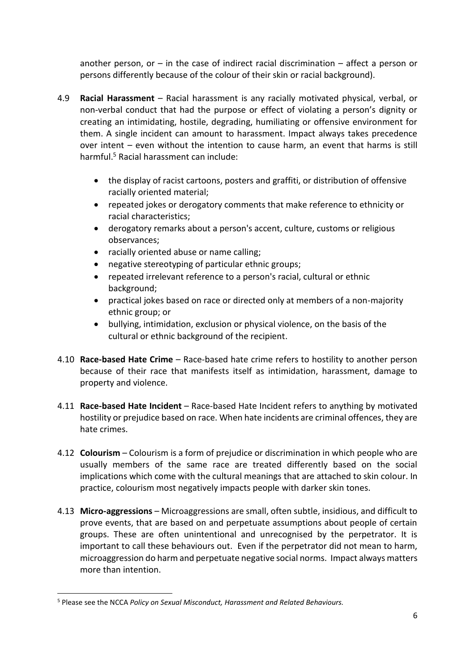another person, or  $-$  in the case of indirect racial discrimination  $-$  affect a person or persons differently because of the colour of their skin or racial background).

- 4.9 **Racial Harassment** Racial harassment is any racially motivated physical, verbal, or non-verbal conduct that had the purpose or effect of violating a person's dignity or creating an intimidating, hostile, degrading, humiliating or offensive environment for them. A single incident can amount to harassment. Impact always takes precedence over intent – even without the intention to cause harm, an event that harms is still harmful.<sup>5</sup> Racial harassment can include:
	- the display of racist cartoons, posters and graffiti, or distribution of offensive racially oriented material;
	- repeated jokes or derogatory comments that make reference to ethnicity or racial characteristics;
	- derogatory remarks about a person's accent, culture, customs or religious observances;
	- racially oriented abuse or name calling:
	- negative stereotyping of particular ethnic groups;
	- repeated irrelevant reference to a person's racial, cultural or ethnic background;
	- practical jokes based on race or directed only at members of a non-majority ethnic group; or
	- bullying, intimidation, exclusion or physical violence, on the basis of the cultural or ethnic background of the recipient.
- 4.10 **Race-based Hate Crime** Race-based hate crime refers to hostility to another person because of their race that manifests itself as intimidation, harassment, damage to property and violence.
- 4.11 **Race-based Hate Incident** Race-based Hate Incident refers to anything by motivated hostility or prejudice based on race. When hate incidents are criminal offences, they are hate crimes.
- 4.12 **Colourism**  Colourism is a form of prejudice or discrimination in which people who are usually members of the same race are treated differently based on the social implications which come with the cultural meanings that are attached to skin colour. In practice, colourism most negatively impacts people with darker skin tones.
- 4.13 **Micro-aggressions** Microaggressions are small, often subtle, insidious, and difficult to prove events, that are based on and perpetuate assumptions about people of certain groups. These are often unintentional and unrecognised by the perpetrator. It is important to call these behaviours out. Even if the perpetrator did not mean to harm, microaggression do harm and perpetuate negative social norms. Impact always matters more than intention.

**.** 

<sup>5</sup> Please see the NCCA *Policy on Sexual Misconduct, Harassment and Related Behaviours.*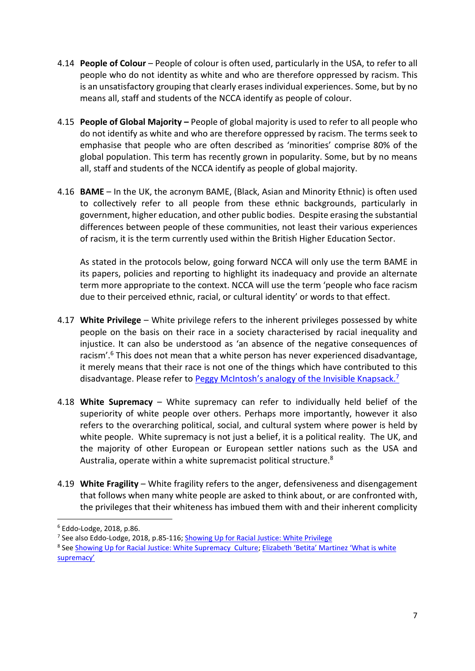- 4.14 **People of Colour** People of colour is often used, particularly in the USA, to refer to all people who do not identity as white and who are therefore oppressed by racism. This is an unsatisfactory grouping that clearly erases individual experiences. Some, but by no means all, staff and students of the NCCA identify as people of colour.
- 4.15 **People of Global Majority –** People of global majority is used to refer to all people who do not identify as white and who are therefore oppressed by racism. The terms seek to emphasise that people who are often described as 'minorities' comprise 80% of the global population. This term has recently grown in popularity. Some, but by no means all, staff and students of the NCCA identify as people of global majority.
- 4.16 **BAME** In the UK, the acronym BAME, (Black, Asian and Minority Ethnic) is often used to collectively refer to all people from these ethnic backgrounds, particularly in government, higher education, and other public bodies. Despite erasing the substantial differences between people of these communities, not least their various experiences of racism, it is the term currently used within the British Higher Education Sector.

As stated in the protocols below, going forward NCCA will only use the term BAME in its papers, policies and reporting to highlight its inadequacy and provide an alternate term more appropriate to the context. NCCA will use the term 'people who face racism due to their perceived ethnic, racial, or cultural identity' or words to that effect.

- 4.17 **White Privilege** White privilege refers to the inherent privileges possessed by white people on the basis on their race in a society characterised by racial inequality and injustice. It can also be understood as 'an absence of the negative consequences of racism'.<sup>6</sup> This does not mean that a white person has never experienced disadvantage, it merely means that their race is not one of the things which have contributed to this disadvantage. Please refer to [Peggy McIntosh's analogy of the](https://www.racialequitytools.org/resourcefiles/mcintosh.pdf) Invisible Knapsack.<sup>7</sup>
- 4.18 **White Supremacy** White supremacy can refer to individually held belief of the superiority of white people over others. Perhaps more importantly, however it also refers to the overarching political, social, and cultural system where power is held by white people. White supremacy is not just a belief, it is a political reality. The UK, and the majority of other European or European settler nations such as the USA and Australia, operate within a white supremacist political structure.<sup>8</sup>
- 4.19 **White Fragility** White fragility refers to the anger, defensiveness and disengagement that follows when many white people are asked to think about, or are confronted with, the privileges that their whiteness has imbued them with and their inherent complicity

**.** 

<sup>7</sup> See also Eddo-Lodge, 2018, p.85-116; [Showing Up for Racial Justice: White Privilege](https://www.showingupforracialjustice.org/white-privilege.html)

<sup>6</sup> Eddo-Lodge, 2018, p.86.

<sup>&</sup>lt;sup>8</sup> See [Showing Up for Racial Justice: White Supremacy Culture;](https://www.showingupforracialjustice.org/white-supremacy-culture.html) Elizabeth 'Betita' Martinez 'What is white [supremacy'](http://www.pym.org/annual-sessions/wp-content/uploads/sites/7/2017/06/What_Is_White_Supremacy_Martinez.pdf)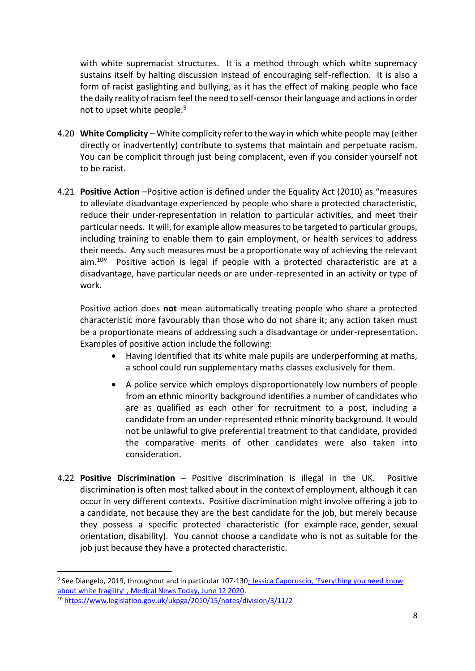with white supremacist structures. It is a method through which white supremacy sustains itself by halting discussion instead of encouraging self-reflection. It is also a form of racist gaslighting and bullying, as it has the effect of making people who face the daily reality of racism feel the need to self-censor their language and actions in order not to upset white people.<sup>9</sup>

- 4.20 **White Complicity** White complicity refer to the way in which white people may (either directly or inadvertently) contribute to systems that maintain and perpetuate racism. You can be complicit through just being complacent, even if you consider yourself not to be racist.
- 4.21 **Positive Action** –Positive action is defined under the Equality Act (2010) as "measures to alleviate disadvantage experienced by people who share a protected characteristic, reduce their under-representation in relation to particular activities, and meet their particular needs. It will, for example allow measures to be targeted to particular groups, including training to enable them to gain employment, or health services to address their needs. Any such measures must be a proportionate way of achieving the relevant  $a$ im.<sup>10</sup>" Positive action is legal if people with a protected characteristic are at a disadvantage, have particular needs or are under-represented in an activity or type of work.

Positive action does **not** mean automatically treating people who share a protected characteristic more favourably than those who do not share it; any action taken must be a proportionate means of addressing such a disadvantage or under-representation. Examples of positive action include the following:

- Having identified that its white male pupils are underperforming at maths, a school could run supplementary maths classes exclusively for them.
- A police service which employs disproportionately low numbers of people from an ethnic minority background identifies a number of candidates who are as qualified as each other for recruitment to a post, including a candidate from an under-represented ethnic minority background. It would not be unlawful to give preferential treatment to that candidate, provided the comparative merits of other candidates were also taken into consideration.
- 4.22 **Positive Discrimination** Positive discrimination is illegal in the UK. Positive discrimination is often most talked about in the context of employment, although it can occur in very different contexts. Positive discrimination might involve offering a job to a candidate, not because they are the best candidate for the job, but merely because they possess a specific protected characteristic (for example race, gender, sexual orientation, disability). You cannot choose a candidate who is not as suitable for the job just because they have a protected characteristic.

**.** 

<sup>&</sup>lt;sup>9</sup> See Diangelo, 2019, throughout and in particular 107-130<u>; Jessica Caporuscio, 'Everything you need know</u> a[bout white fragility' , Medical News Today, June 12 2020](https://www.medicalnewstoday.com/articles/white-fragility-definition).

<sup>10</sup> <https://www.legislation.gov.uk/ukpga/2010/15/notes/division/3/11/2>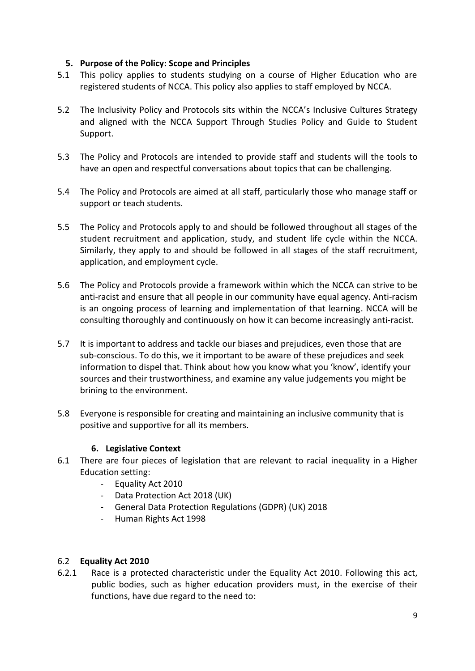#### <span id="page-8-0"></span>**5. Purpose of the Policy: Scope and Principles**

- 5.1 This policy applies to students studying on a course of Higher Education who are registered students of NCCA. This policy also applies to staff employed by NCCA.
- 5.2 The Inclusivity Policy and Protocols sits within the NCCA's Inclusive Cultures Strategy and aligned with the NCCA Support Through Studies Policy and Guide to Student Support.
- 5.3 The Policy and Protocols are intended to provide staff and students will the tools to have an open and respectful conversations about topics that can be challenging.
- 5.4 The Policy and Protocols are aimed at all staff, particularly those who manage staff or support or teach students.
- 5.5 The Policy and Protocols apply to and should be followed throughout all stages of the student recruitment and application, study, and student life cycle within the NCCA. Similarly, they apply to and should be followed in all stages of the staff recruitment, application, and employment cycle.
- 5.6 The Policy and Protocols provide a framework within which the NCCA can strive to be anti-racist and ensure that all people in our community have equal agency. Anti-racism is an ongoing process of learning and implementation of that learning. NCCA will be consulting thoroughly and continuously on how it can become increasingly anti-racist.
- 5.7 It is important to address and tackle our biases and prejudices, even those that are sub-conscious. To do this, we it important to be aware of these prejudices and seek information to dispel that. Think about how you know what you 'know', identify your sources and their trustworthiness, and examine any value judgements you might be brining to the environment.
- 5.8 Everyone is responsible for creating and maintaining an inclusive community that is positive and supportive for all its members.

#### **6. Legislative Context**

- <span id="page-8-1"></span>6.1 There are four pieces of legislation that are relevant to racial inequality in a Higher Education setting:
	- Equality Act 2010
	- Data Protection Act 2018 (UK)
	- General Data Protection Regulations (GDPR) (UK) 2018
	- Human Rights Act 1998

#### 6.2 **Equality Act 2010**

6.2.1 Race is a protected characteristic under the Equality Act 2010. Following this act, public bodies, such as higher education providers must, in the exercise of their functions, have due regard to the need to: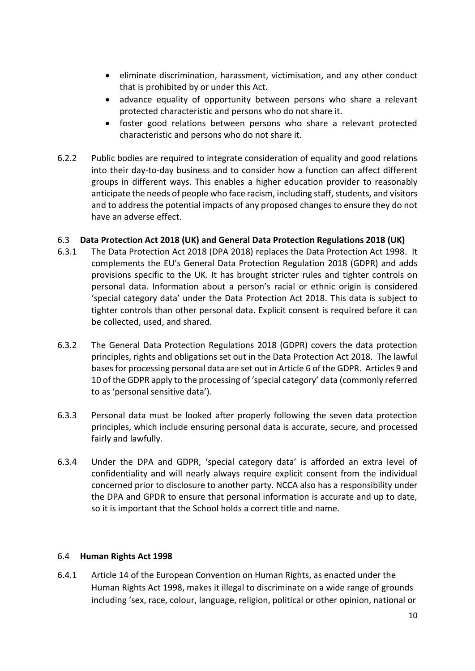- eliminate discrimination, harassment, victimisation, and any other conduct that is prohibited by or under this Act.
- advance equality of opportunity between persons who share a relevant protected characteristic and persons who do not share it.
- foster good relations between persons who share a relevant protected characteristic and persons who do not share it.
- 6.2.2 Public bodies are required to integrate consideration of equality and good relations into their day-to-day business and to consider how a function can affect different groups in different ways. This enables a higher education provider to reasonably anticipate the needs of people who face racism, including staff, students, and visitors and to address the potential impacts of any proposed changes to ensure they do not have an adverse effect.

#### 6.3 **Data Protection Act 2018 (UK) and General Data Protection Regulations 2018 (UK)**

- 6.3.1 The Data Protection Act 2018 (DPA 2018) replaces the Data Protection Act 1998. It complements the EU's General Data Protection Regulation 2018 (GDPR) and adds provisions specific to the UK. It has brought stricter rules and tighter controls on personal data. Information about a person's racial or ethnic origin is considered 'special category data' under the Data Protection Act 2018. This data is subject to tighter controls than other personal data. Explicit consent is required before it can be collected, used, and shared.
- 6.3.2 The General Data Protection Regulations 2018 (GDPR) covers the data protection principles, rights and obligations set out in the Data Protection Act 2018. The lawful bases for processing personal data are set out in Article 6 of the GDPR. Articles 9 and 10 of the GDPR apply to the processing of 'special category' data (commonly referred to as 'personal sensitive data').
- 6.3.3 Personal data must be looked after properly following the seven data protection principles, which include ensuring personal data is accurate, secure, and processed fairly and lawfully.
- 6.3.4 Under the DPA and GDPR, 'special category data' is afforded an extra level of confidentiality and will nearly always require explicit consent from the individual concerned prior to disclosure to another party. NCCA also has a responsibility under the DPA and GPDR to ensure that personal information is accurate and up to date, so it is important that the School holds a correct title and name.

#### 6.4 **Human Rights Act 1998**

6.4.1 Article 14 of the European Convention on Human Rights, as enacted under the Human Rights Act 1998, makes it illegal to discriminate on a wide range of grounds including 'sex, race, colour, language, religion, political or other opinion, national or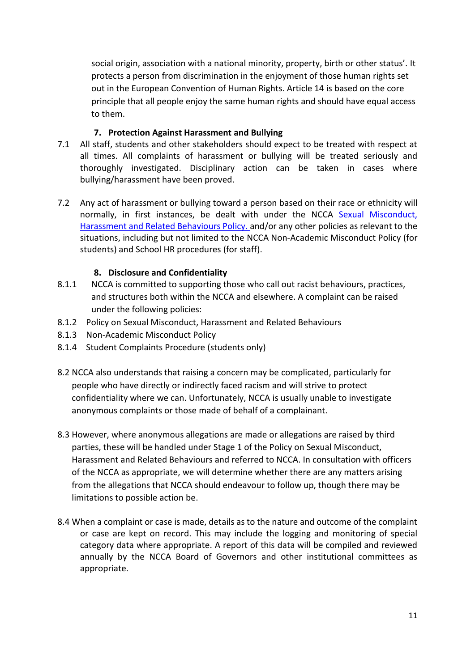social origin, association with a national minority, property, birth or other status'. It protects a person from discrimination in the enjoyment of those human rights set out in the European Convention of Human Rights. Article 14 is based on the core principle that all people enjoy the same human rights and should have equal access to them.

#### **7. Protection Against Harassment and Bullying**

- <span id="page-10-0"></span>7.1 All staff, students and other stakeholders should expect to be treated with respect at all times. All complaints of harassment or bullying will be treated seriously and thoroughly investigated. Disciplinary action can be taken in cases where bullying/harassment have been proved.
- 7.2 Any act of harassment or bullying toward a person based on their race or ethnicity will normally, in first instances, be dealt with under the NCCA [Sexual Misconduct,](http://www.cdd.ac.uk/policies/student-related-policies/)  [Harassment and Related Behaviours Policy.](http://www.cdd.ac.uk/policies/student-related-policies/) and/or any other policies as relevant to the situations, including but not limited to the NCCA Non-Academic Misconduct Policy (for students) and School HR procedures (for staff).

#### **8. Disclosure and Confidentiality**

- <span id="page-10-1"></span>8.1.1 NCCA is committed to supporting those who call out racist behaviours, practices, and structures both within the NCCA and elsewhere. A complaint can be raised under the following policies:
- 8.1.2 Policy on Sexual Misconduct, Harassment and Related Behaviours
- 8.1.3 Non-Academic Misconduct Policy
- 8.1.4 Student Complaints Procedure (students only)
- 8.2 NCCA also understands that raising a concern may be complicated, particularly for people who have directly or indirectly faced racism and will strive to protect confidentiality where we can. Unfortunately, NCCA is usually unable to investigate anonymous complaints or those made of behalf of a complainant.
- 8.3 However, where anonymous allegations are made or allegations are raised by third parties, these will be handled under Stage 1 of the Policy on Sexual Misconduct, Harassment and Related Behaviours and referred to NCCA. In consultation with officers of the NCCA as appropriate, we will determine whether there are any matters arising from the allegations that NCCA should endeavour to follow up, though there may be limitations to possible action be.
- 8.4 When a complaint or case is made, details as to the nature and outcome of the complaint or case are kept on record. This may include the logging and monitoring of special category data where appropriate. A report of this data will be compiled and reviewed annually by the NCCA Board of Governors and other institutional committees as appropriate.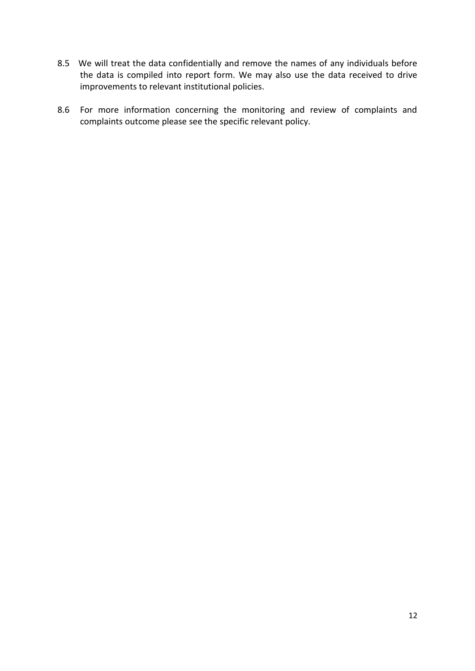- 8.5 We will treat the data confidentially and remove the names of any individuals before the data is compiled into report form. We may also use the data received to drive improvements to relevant institutional policies.
- 8.6 For more information concerning the monitoring and review of complaints and complaints outcome please see the [specific relevant policy.](http://www.cdd.ac.uk/policies/student-related-policies/)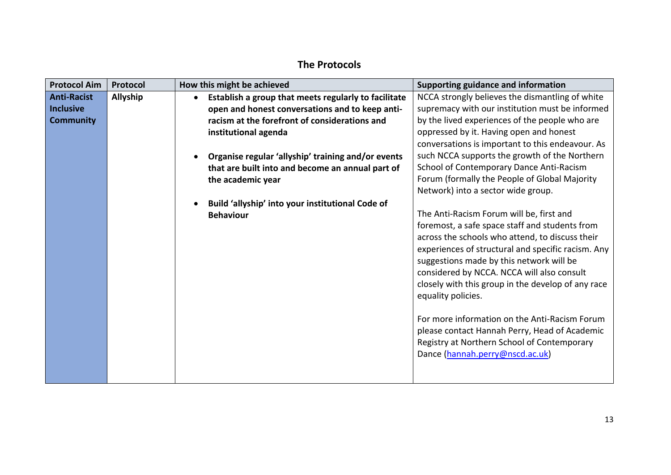## **The Protocols**

<span id="page-12-0"></span>

| <b>Protocol Aim</b> | Protocol        | How this might be achieved                           | Supporting guidance and information                |
|---------------------|-----------------|------------------------------------------------------|----------------------------------------------------|
| <b>Anti-Racist</b>  | <b>Allyship</b> | Establish a group that meets regularly to facilitate | NCCA strongly believes the dismantling of white    |
| <b>Inclusive</b>    |                 | open and honest conversations and to keep anti-      | supremacy with our institution must be informed    |
| <b>Community</b>    |                 | racism at the forefront of considerations and        | by the lived experiences of the people who are     |
|                     |                 | institutional agenda                                 | oppressed by it. Having open and honest            |
|                     |                 |                                                      | conversations is important to this endeavour. As   |
|                     |                 | Organise regular 'allyship' training and/or events   | such NCCA supports the growth of the Northern      |
|                     |                 | that are built into and become an annual part of     | School of Contemporary Dance Anti-Racism           |
|                     |                 | the academic year                                    | Forum (formally the People of Global Majority      |
|                     |                 |                                                      | Network) into a sector wide group.                 |
|                     |                 | Build 'allyship' into your institutional Code of     |                                                    |
|                     |                 | <b>Behaviour</b>                                     | The Anti-Racism Forum will be, first and           |
|                     |                 |                                                      | foremost, a safe space staff and students from     |
|                     |                 |                                                      | across the schools who attend, to discuss their    |
|                     |                 |                                                      | experiences of structural and specific racism. Any |
|                     |                 |                                                      | suggestions made by this network will be           |
|                     |                 |                                                      | considered by NCCA. NCCA will also consult         |
|                     |                 |                                                      | closely with this group in the develop of any race |
|                     |                 |                                                      | equality policies.                                 |
|                     |                 |                                                      |                                                    |
|                     |                 |                                                      | For more information on the Anti-Racism Forum      |
|                     |                 |                                                      | please contact Hannah Perry, Head of Academic      |
|                     |                 |                                                      | Registry at Northern School of Contemporary        |
|                     |                 |                                                      | Dance (hannah.perry@nscd.ac.uk)                    |
|                     |                 |                                                      |                                                    |
|                     |                 |                                                      |                                                    |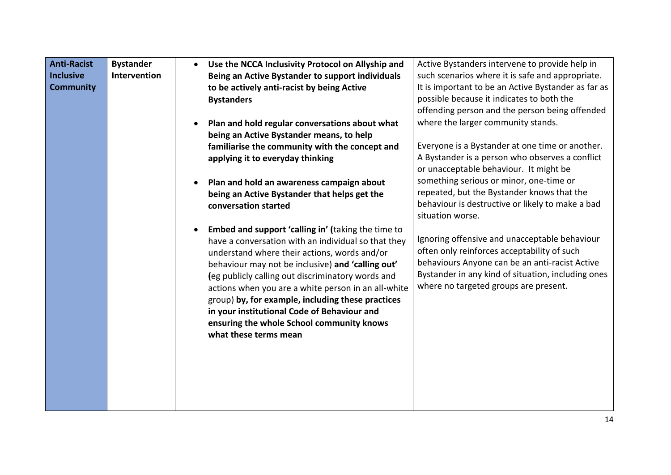| <b>Anti-Racist</b> | <b>Bystander</b>    | $\bullet$ | Use the NCCA Inclusivity Protocol on Allyship and                                                                                                                                                                                                                                                                                                                                                                                                                                                    | Active Bystanders intervene to provide help in                                                                                                                                                                                                |
|--------------------|---------------------|-----------|------------------------------------------------------------------------------------------------------------------------------------------------------------------------------------------------------------------------------------------------------------------------------------------------------------------------------------------------------------------------------------------------------------------------------------------------------------------------------------------------------|-----------------------------------------------------------------------------------------------------------------------------------------------------------------------------------------------------------------------------------------------|
| <b>Inclusive</b>   | <b>Intervention</b> |           | Being an Active Bystander to support individuals                                                                                                                                                                                                                                                                                                                                                                                                                                                     | such scenarios where it is safe and appropriate.                                                                                                                                                                                              |
| <b>Community</b>   |                     |           | to be actively anti-racist by being Active                                                                                                                                                                                                                                                                                                                                                                                                                                                           | It is important to be an Active Bystander as far as                                                                                                                                                                                           |
|                    |                     |           | <b>Bystanders</b>                                                                                                                                                                                                                                                                                                                                                                                                                                                                                    | possible because it indicates to both the                                                                                                                                                                                                     |
|                    |                     |           |                                                                                                                                                                                                                                                                                                                                                                                                                                                                                                      | offending person and the person being offended                                                                                                                                                                                                |
|                    |                     | $\bullet$ | Plan and hold regular conversations about what                                                                                                                                                                                                                                                                                                                                                                                                                                                       | where the larger community stands.                                                                                                                                                                                                            |
|                    |                     |           | being an Active Bystander means, to help                                                                                                                                                                                                                                                                                                                                                                                                                                                             |                                                                                                                                                                                                                                               |
|                    |                     |           | familiarise the community with the concept and                                                                                                                                                                                                                                                                                                                                                                                                                                                       | Everyone is a Bystander at one time or another.                                                                                                                                                                                               |
|                    |                     |           | applying it to everyday thinking                                                                                                                                                                                                                                                                                                                                                                                                                                                                     | A Bystander is a person who observes a conflict                                                                                                                                                                                               |
|                    |                     |           |                                                                                                                                                                                                                                                                                                                                                                                                                                                                                                      | or unacceptable behaviour. It might be                                                                                                                                                                                                        |
|                    |                     | $\bullet$ | Plan and hold an awareness campaign about                                                                                                                                                                                                                                                                                                                                                                                                                                                            | something serious or minor, one-time or                                                                                                                                                                                                       |
|                    |                     |           | being an Active Bystander that helps get the                                                                                                                                                                                                                                                                                                                                                                                                                                                         | repeated, but the Bystander knows that the                                                                                                                                                                                                    |
|                    |                     |           | conversation started                                                                                                                                                                                                                                                                                                                                                                                                                                                                                 | behaviour is destructive or likely to make a bad                                                                                                                                                                                              |
|                    |                     |           |                                                                                                                                                                                                                                                                                                                                                                                                                                                                                                      | situation worse.                                                                                                                                                                                                                              |
|                    |                     | $\bullet$ | Embed and support 'calling in' (taking the time to<br>have a conversation with an individual so that they<br>understand where their actions, words and/or<br>behaviour may not be inclusive) and 'calling out'<br>(eg publicly calling out discriminatory words and<br>actions when you are a white person in an all-white<br>group) by, for example, including these practices<br>in your institutional Code of Behaviour and<br>ensuring the whole School community knows<br>what these terms mean | Ignoring offensive and unacceptable behaviour<br>often only reinforces acceptability of such<br>behaviours Anyone can be an anti-racist Active<br>Bystander in any kind of situation, including ones<br>where no targeted groups are present. |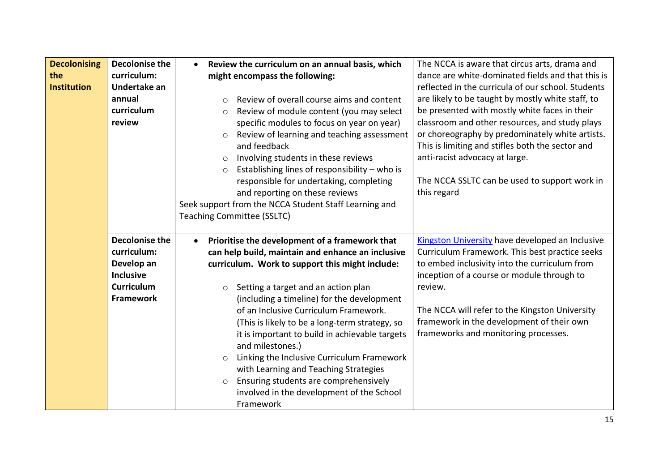| <b>Decolonising</b> | <b>Decolonise the</b> | Review the curriculum on an annual basis, which<br>$\bullet$ | The NCCA is aware that circus arts, drama and          |
|---------------------|-----------------------|--------------------------------------------------------------|--------------------------------------------------------|
| the                 | curriculum:           | might encompass the following:                               | dance are white-dominated fields and that this is      |
| <b>Institution</b>  | Undertake an          |                                                              | reflected in the curricula of our school. Students     |
|                     | annual                | Review of overall course aims and content<br>$\Omega$        | are likely to be taught by mostly white staff, to      |
|                     | curriculum            | Review of module content (you may select<br>$\circ$          | be presented with mostly white faces in their          |
|                     | review                | specific modules to focus on year on year)                   | classroom and other resources, and study plays         |
|                     |                       | Review of learning and teaching assessment<br>$\circ$        | or choreography by predominately white artists.        |
|                     |                       | and feedback                                                 | This is limiting and stifles both the sector and       |
|                     |                       | Involving students in these reviews<br>$\circ$               | anti-racist advocacy at large.                         |
|                     |                       | Establishing lines of responsibility - who is<br>$\circ$     |                                                        |
|                     |                       | responsible for undertaking, completing                      | The NCCA SSLTC can be used to support work in          |
|                     |                       | and reporting on these reviews                               | this regard                                            |
|                     |                       | Seek support from the NCCA Student Staff Learning and        |                                                        |
|                     |                       | <b>Teaching Committee (SSLTC)</b>                            |                                                        |
|                     |                       |                                                              |                                                        |
|                     |                       |                                                              |                                                        |
|                     | <b>Decolonise the</b> | Prioritise the development of a framework that               | <b>Kingston University have developed an Inclusive</b> |
|                     | curriculum:           | can help build, maintain and enhance an inclusive            | Curriculum Framework. This best practice seeks         |
|                     | Develop an            | curriculum. Work to support this might include:              | to embed inclusivity into the curriculum from          |
|                     | <b>Inclusive</b>      |                                                              | inception of a course or module through to             |
|                     | <b>Curriculum</b>     | Setting a target and an action plan<br>$\circ$               | review.                                                |
|                     | <b>Framework</b>      | (including a timeline) for the development                   |                                                        |
|                     |                       | of an Inclusive Curriculum Framework.                        | The NCCA will refer to the Kingston University         |
|                     |                       | (This is likely to be a long-term strategy, so               | framework in the development of their own              |
|                     |                       | it is important to build in achievable targets               | frameworks and monitoring processes.                   |
|                     |                       | and milestones.)                                             |                                                        |
|                     |                       | Linking the Inclusive Curriculum Framework<br>$\circ$        |                                                        |
|                     |                       | with Learning and Teaching Strategies                        |                                                        |
|                     |                       | Ensuring students are comprehensively<br>$\circ$             |                                                        |
|                     |                       | involved in the development of the School                    |                                                        |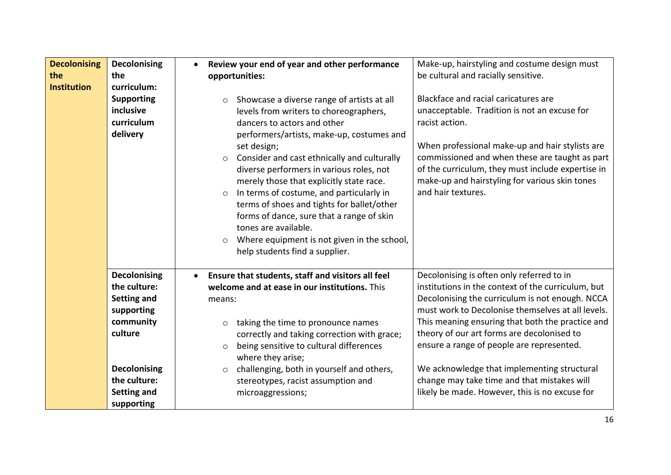| <b>Decolonising</b><br>the<br><b>Institution</b> | <b>Decolonising</b><br>the<br>curriculum:<br><b>Supporting</b><br>inclusive<br>curriculum<br>delivery                                                               | Review your end of year and other performance<br>opportunities:<br>Showcase a diverse range of artists at all<br>$\circ$<br>levels from writers to choreographers,<br>dancers to actors and other<br>performers/artists, make-up, costumes and<br>set design;<br>Consider and cast ethnically and culturally<br>$\circ$<br>diverse performers in various roles, not<br>merely those that explicitly state race.<br>In terms of costume, and particularly in<br>$\circ$<br>terms of shoes and tights for ballet/other<br>forms of dance, sure that a range of skin<br>tones are available.<br>Where equipment is not given in the school,<br>$\circ$<br>help students find a supplier. | Make-up, hairstyling and costume design must<br>be cultural and racially sensitive.<br>Blackface and racial caricatures are<br>unacceptable. Tradition is not an excuse for<br>racist action.<br>When professional make-up and hair stylists are<br>commissioned and when these are taught as part<br>of the curriculum, they must include expertise in<br>make-up and hairstyling for various skin tones<br>and hair textures.                                                                        |
|--------------------------------------------------|---------------------------------------------------------------------------------------------------------------------------------------------------------------------|---------------------------------------------------------------------------------------------------------------------------------------------------------------------------------------------------------------------------------------------------------------------------------------------------------------------------------------------------------------------------------------------------------------------------------------------------------------------------------------------------------------------------------------------------------------------------------------------------------------------------------------------------------------------------------------|--------------------------------------------------------------------------------------------------------------------------------------------------------------------------------------------------------------------------------------------------------------------------------------------------------------------------------------------------------------------------------------------------------------------------------------------------------------------------------------------------------|
|                                                  | <b>Decolonising</b><br>the culture:<br>Setting and<br>supporting<br>community<br>culture<br><b>Decolonising</b><br>the culture:<br><b>Setting and</b><br>supporting | Ensure that students, staff and visitors all feel<br>welcome and at ease in our institutions. This<br>means:<br>taking the time to pronounce names<br>$\circ$<br>correctly and taking correction with grace;<br>being sensitive to cultural differences<br>$\circ$<br>where they arise;<br>challenging, both in yourself and others,<br>$\circ$<br>stereotypes, racist assumption and<br>microaggressions;                                                                                                                                                                                                                                                                            | Decolonising is often only referred to in<br>institutions in the context of the curriculum, but<br>Decolonising the curriculum is not enough. NCCA<br>must work to Decolonise themselves at all levels.<br>This meaning ensuring that both the practice and<br>theory of our art forms are decolonised to<br>ensure a range of people are represented.<br>We acknowledge that implementing structural<br>change may take time and that mistakes will<br>likely be made. However, this is no excuse for |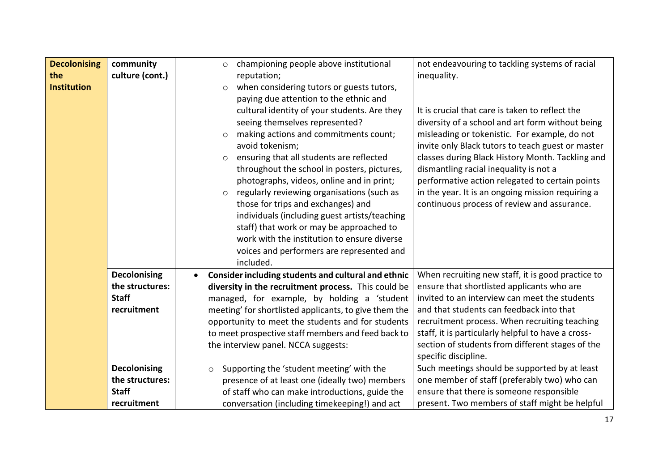| <b>Decolonising</b><br>the<br><b>Institution</b> | community<br>culture (cont.)           | championing people above institutional<br>$\circ$<br>reputation;<br>when considering tutors or guests tutors,<br>$\circ$<br>paying due attention to the ethnic and<br>cultural identity of your students. Are they<br>seeing themselves represented?<br>making actions and commitments count;<br>$\circ$<br>avoid tokenism;<br>ensuring that all students are reflected<br>$\circ$<br>throughout the school in posters, pictures,<br>photographs, videos, online and in print;<br>regularly reviewing organisations (such as<br>$\circ$<br>those for trips and exchanges) and<br>individuals (including guest artists/teaching<br>staff) that work or may be approached to<br>work with the institution to ensure diverse<br>voices and performers are represented and<br>included. | not endeavouring to tackling systems of racial<br>inequality.<br>It is crucial that care is taken to reflect the<br>diversity of a school and art form without being<br>misleading or tokenistic. For example, do not<br>invite only Black tutors to teach guest or master<br>classes during Black History Month. Tackling and<br>dismantling racial inequality is not a<br>performative action relegated to certain points<br>in the year. It is an ongoing mission requiring a<br>continuous process of review and assurance. |
|--------------------------------------------------|----------------------------------------|-------------------------------------------------------------------------------------------------------------------------------------------------------------------------------------------------------------------------------------------------------------------------------------------------------------------------------------------------------------------------------------------------------------------------------------------------------------------------------------------------------------------------------------------------------------------------------------------------------------------------------------------------------------------------------------------------------------------------------------------------------------------------------------|---------------------------------------------------------------------------------------------------------------------------------------------------------------------------------------------------------------------------------------------------------------------------------------------------------------------------------------------------------------------------------------------------------------------------------------------------------------------------------------------------------------------------------|
|                                                  | <b>Decolonising</b><br>the structures: | Consider including students and cultural and ethnic<br>diversity in the recruitment process. This could be                                                                                                                                                                                                                                                                                                                                                                                                                                                                                                                                                                                                                                                                          | When recruiting new staff, it is good practice to<br>ensure that shortlisted applicants who are                                                                                                                                                                                                                                                                                                                                                                                                                                 |
|                                                  | <b>Staff</b>                           | managed, for example, by holding a 'student                                                                                                                                                                                                                                                                                                                                                                                                                                                                                                                                                                                                                                                                                                                                         | invited to an interview can meet the students                                                                                                                                                                                                                                                                                                                                                                                                                                                                                   |
|                                                  | recruitment                            | meeting' for shortlisted applicants, to give them the<br>opportunity to meet the students and for students<br>to meet prospective staff members and feed back to<br>the interview panel. NCCA suggests:                                                                                                                                                                                                                                                                                                                                                                                                                                                                                                                                                                             | and that students can feedback into that<br>recruitment process. When recruiting teaching<br>staff, it is particularly helpful to have a cross-<br>section of students from different stages of the<br>specific discipline.                                                                                                                                                                                                                                                                                                     |
|                                                  | <b>Decolonising</b>                    | Supporting the 'student meeting' with the<br>$\circ$                                                                                                                                                                                                                                                                                                                                                                                                                                                                                                                                                                                                                                                                                                                                | Such meetings should be supported by at least                                                                                                                                                                                                                                                                                                                                                                                                                                                                                   |
|                                                  | the structures:<br><b>Staff</b>        | presence of at least one (ideally two) members                                                                                                                                                                                                                                                                                                                                                                                                                                                                                                                                                                                                                                                                                                                                      | one member of staff (preferably two) who can                                                                                                                                                                                                                                                                                                                                                                                                                                                                                    |
|                                                  | recruitment                            | of staff who can make introductions, guide the<br>conversation (including timekeeping!) and act                                                                                                                                                                                                                                                                                                                                                                                                                                                                                                                                                                                                                                                                                     | ensure that there is someone responsible<br>present. Two members of staff might be helpful                                                                                                                                                                                                                                                                                                                                                                                                                                      |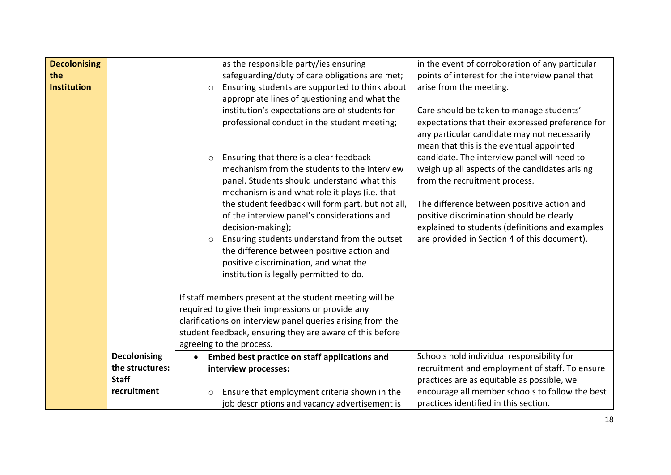| <b>Decolonising</b> |                     | as the responsible party/ies ensuring                      | in the event of corroboration of any particular  |
|---------------------|---------------------|------------------------------------------------------------|--------------------------------------------------|
| the                 |                     | safeguarding/duty of care obligations are met;             | points of interest for the interview panel that  |
| <b>Institution</b>  |                     | Ensuring students are supported to think about<br>$\circ$  | arise from the meeting.                          |
|                     |                     | appropriate lines of questioning and what the              |                                                  |
|                     |                     | institution's expectations are of students for             | Care should be taken to manage students'         |
|                     |                     | professional conduct in the student meeting;               | expectations that their expressed preference for |
|                     |                     |                                                            | any particular candidate may not necessarily     |
|                     |                     |                                                            | mean that this is the eventual appointed         |
|                     |                     | Ensuring that there is a clear feedback<br>$\circ$         | candidate. The interview panel will need to      |
|                     |                     | mechanism from the students to the interview               | weigh up all aspects of the candidates arising   |
|                     |                     | panel. Students should understand what this                | from the recruitment process.                    |
|                     |                     | mechanism is and what role it plays (i.e. that             |                                                  |
|                     |                     | the student feedback will form part, but not all,          | The difference between positive action and       |
|                     |                     | of the interview panel's considerations and                | positive discrimination should be clearly        |
|                     |                     | decision-making);                                          | explained to students (definitions and examples  |
|                     |                     | Ensuring students understand from the outset<br>$\circ$    | are provided in Section 4 of this document).     |
|                     |                     | the difference between positive action and                 |                                                  |
|                     |                     | positive discrimination, and what the                      |                                                  |
|                     |                     | institution is legally permitted to do.                    |                                                  |
|                     |                     | If staff members present at the student meeting will be    |                                                  |
|                     |                     | required to give their impressions or provide any          |                                                  |
|                     |                     | clarifications on interview panel queries arising from the |                                                  |
|                     |                     | student feedback, ensuring they are aware of this before   |                                                  |
|                     |                     | agreeing to the process.                                   |                                                  |
|                     | <b>Decolonising</b> | Embed best practice on staff applications and<br>$\bullet$ | Schools hold individual responsibility for       |
|                     | the structures:     | interview processes:                                       | recruitment and employment of staff. To ensure   |
|                     | <b>Staff</b>        |                                                            | practices are as equitable as possible, we       |
|                     | recruitment         | Ensure that employment criteria shown in the<br>$\circ$    | encourage all member schools to follow the best  |
|                     |                     | job descriptions and vacancy advertisement is              | practices identified in this section.            |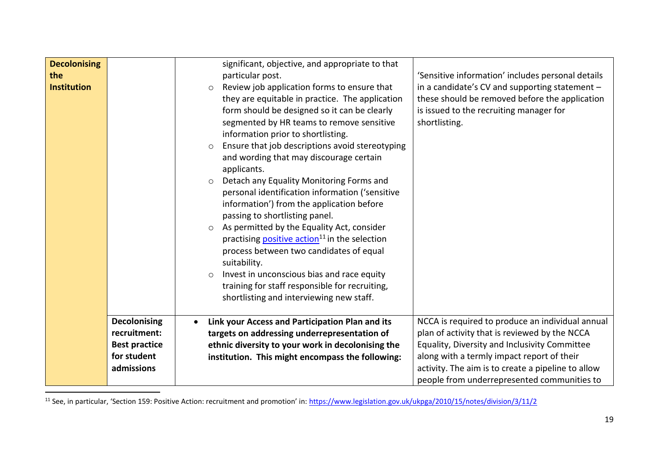| <b>Decolonising</b><br>the<br><b>Institution</b> |                                                                                          | significant, objective, and appropriate to that<br>particular post.<br>Review job application forms to ensure that<br>$\circ$<br>they are equitable in practice. The application<br>form should be designed so it can be clearly<br>segmented by HR teams to remove sensitive<br>information prior to shortlisting.<br>Ensure that job descriptions avoid stereotyping<br>$\circ$<br>and wording that may discourage certain<br>applicants.<br>Detach any Equality Monitoring Forms and<br>$\circ$<br>personal identification information ('sensitive<br>information') from the application before<br>passing to shortlisting panel.<br>As permitted by the Equality Act, consider<br>$\circ$<br>practising <b>positive action</b> <sup>11</sup> in the selection<br>process between two candidates of equal<br>suitability.<br>Invest in unconscious bias and race equity<br>$\circ$<br>training for staff responsible for recruiting, | 'Sensitive information' includes personal details<br>in a candidate's CV and supporting statement -<br>these should be removed before the application<br>is issued to the recruiting manager for<br>shortlisting.                                                                                     |
|--------------------------------------------------|------------------------------------------------------------------------------------------|-----------------------------------------------------------------------------------------------------------------------------------------------------------------------------------------------------------------------------------------------------------------------------------------------------------------------------------------------------------------------------------------------------------------------------------------------------------------------------------------------------------------------------------------------------------------------------------------------------------------------------------------------------------------------------------------------------------------------------------------------------------------------------------------------------------------------------------------------------------------------------------------------------------------------------------------|-------------------------------------------------------------------------------------------------------------------------------------------------------------------------------------------------------------------------------------------------------------------------------------------------------|
|                                                  |                                                                                          | shortlisting and interviewing new staff.                                                                                                                                                                                                                                                                                                                                                                                                                                                                                                                                                                                                                                                                                                                                                                                                                                                                                                |                                                                                                                                                                                                                                                                                                       |
|                                                  | <b>Decolonising</b><br>recruitment:<br><b>Best practice</b><br>for student<br>admissions | Link your Access and Participation Plan and its<br>targets on addressing underrepresentation of<br>ethnic diversity to your work in decolonising the<br>institution. This might encompass the following:                                                                                                                                                                                                                                                                                                                                                                                                                                                                                                                                                                                                                                                                                                                                | NCCA is required to produce an individual annual<br>plan of activity that is reviewed by the NCCA<br>Equality, Diversity and Inclusivity Committee<br>along with a termly impact report of their<br>activity. The aim is to create a pipeline to allow<br>people from underrepresented communities to |

<sup>11</sup> See, in particular, 'Section 159: Positive Action: recruitment and promotion' in: <https://www.legislation.gov.uk/ukpga/2010/15/notes/division/3/11/2>

 $\overline{\phantom{a}}$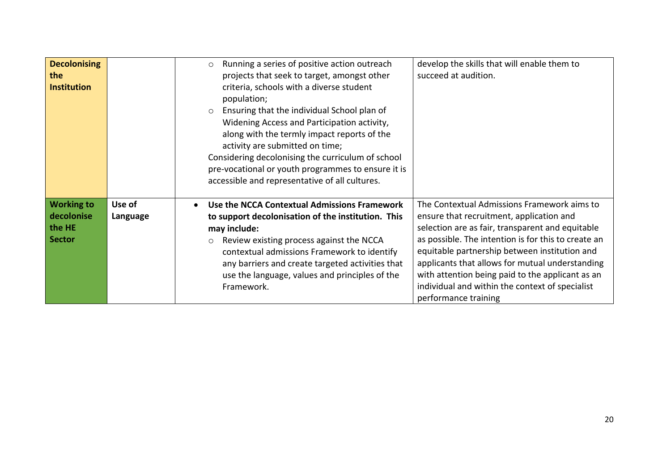| <b>Decolonising</b><br>the<br><b>Institution</b>           |                    | Running a series of positive action outreach<br>$\circ$<br>projects that seek to target, amongst other<br>criteria, schools with a diverse student<br>population;<br>Ensuring that the individual School plan of<br>$\circ$<br>Widening Access and Participation activity,<br>along with the termly impact reports of the<br>activity are submitted on time;<br>Considering decolonising the curriculum of school<br>pre-vocational or youth programmes to ensure it is<br>accessible and representative of all cultures. | develop the skills that will enable them to<br>succeed at audition.                                                                                                                                                                                                                                                                                                                                                                   |
|------------------------------------------------------------|--------------------|---------------------------------------------------------------------------------------------------------------------------------------------------------------------------------------------------------------------------------------------------------------------------------------------------------------------------------------------------------------------------------------------------------------------------------------------------------------------------------------------------------------------------|---------------------------------------------------------------------------------------------------------------------------------------------------------------------------------------------------------------------------------------------------------------------------------------------------------------------------------------------------------------------------------------------------------------------------------------|
| <b>Working to</b><br>decolonise<br>the HE<br><b>Sector</b> | Use of<br>Language | Use the NCCA Contextual Admissions Framework<br>to support decolonisation of the institution. This<br>may include:<br>Review existing process against the NCCA<br>$\circ$<br>contextual admissions Framework to identify<br>any barriers and create targeted activities that<br>use the language, values and principles of the<br>Framework.                                                                                                                                                                              | The Contextual Admissions Framework aims to<br>ensure that recruitment, application and<br>selection are as fair, transparent and equitable<br>as possible. The intention is for this to create an<br>equitable partnership between institution and<br>applicants that allows for mutual understanding<br>with attention being paid to the applicant as an<br>individual and within the context of specialist<br>performance training |